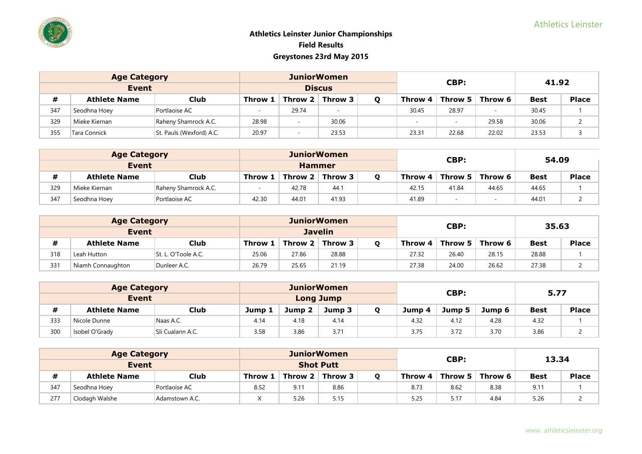|     | <b>Age Category</b> |                          |         |                          | <b>JuniorWomen</b> |                         | CBP:                     |         | 41.92       |       |  |
|-----|---------------------|--------------------------|---------|--------------------------|--------------------|-------------------------|--------------------------|---------|-------------|-------|--|
|     | <b>Event</b>        |                          |         |                          | <b>Discus</b>      |                         |                          |         |             |       |  |
| #   | <b>Athlete Name</b> | <b>Club</b>              | Throw 1 | Throw $2 \mid$ Throw 3   |                    | Throw 4 $\parallel$     | Throw 5                  | Throw 6 | <b>Best</b> | Place |  |
| 347 | Seodhna Hoey        | Portlaoise AC            |         | 29.74                    |                    | 30.45                   | 28.97                    |         | 30.45       |       |  |
| 329 | Mieke Kiernan       | Raheny Shamrock A.C.     | 28.98   | $\overline{\phantom{a}}$ | 30.06              | -                       | $\overline{\phantom{a}}$ | 29.58   | 30.06       |       |  |
| 355 | Tara Connick        | St. Pauls (Wexford) A.C. | 20.97   | $\,$ $\,$                | 23.53              | 22.02<br>23.31<br>22.68 |                          | 23.53   |             |       |  |

|              | <b>Age Category</b> |                      |               | <b>JuniorWomen</b>     |       |  |                                       | CBP:  |       | 54.09       |       |
|--------------|---------------------|----------------------|---------------|------------------------|-------|--|---------------------------------------|-------|-------|-------------|-------|
| <b>Event</b> |                     |                      | <b>Hammer</b> |                        |       |  |                                       |       |       |             |       |
|              | <b>Athlete Name</b> | <b>Club</b>          | Throw 1       | Throw $2 \mid$ Throw 3 |       |  | Throw 5<br>Throw 6<br>Throw 4 $\vert$ |       |       | <b>Best</b> | Place |
| 329          | Mieke Kiernan       | Raheny Shamrock A.C. |               | 42.78                  | 44.1  |  | 42.15                                 | 41.84 | 44.65 | 44.65       |       |
| 347          | Seodhna Hoey        | Portlaoise AC        | 42.30         | 44.01                  | 41.93 |  | 41.89                                 | -     |       | 44.01       |       |

|       | <b>Age Category</b> |                     |                         | <b>JuniorWomen</b> |         |       |       | CBP:                          |         | 35.63       |              |
|-------|---------------------|---------------------|-------------------------|--------------------|---------|-------|-------|-------------------------------|---------|-------------|--------------|
| Event |                     |                     | <b>Javelin</b>          |                    |         |       |       |                               |         |             |              |
|       | <b>Athlete Name</b> | <b>Club</b>         | Throw 1                 | Throw 2 $\vert$    | Throw 3 |       |       | Throw $4 \mid$ Throw 5 $\mid$ | Throw 6 | <b>Best</b> | <b>Place</b> |
| 318   | Leah Hutton         | St. L. O'Toole A.C. | 25.06                   | 27.86              | 28.88   |       | 27.32 | 26.40                         | 28.15   | 28.88       |              |
| 331   | Niamh Connaughton   | Dunleer A.C.        | 26.79<br>25.65<br>21.19 |                    |         | 27.38 | 24.00 | 26.62                         | 27.38   |             |              |

|              | <b>Age Category</b> |                  |                  |        | <b>JuniorWomen</b> |  |                            | CBP: |      | 5.77        |       |
|--------------|---------------------|------------------|------------------|--------|--------------------|--|----------------------------|------|------|-------------|-------|
| <b>Event</b> |                     |                  | <b>Long Jump</b> |        |                    |  |                            |      |      |             |       |
|              | <b>Athlete Name</b> | Club             | Jump 1           | Jump 2 | Jump 3             |  | Jump 6<br>Jump 5<br>Jump 4 |      |      | <b>Best</b> | Place |
| 333          | Nicole Dunne        | Naas A.C.        | 4.14             | 4.18   | 4.14               |  | 4.32                       | 4.12 | 4.28 | 4.32        |       |
| 300          | Isobel O'Grady      | Sli Cualann A.C. | 3.58             | 3.86   | 3.71               |  | 3.75                       | 3.72 | 3.70 | 3.86        |       |

|       | <b>Age Category</b> |                |                  |                        | <b>JuniorWomen</b> |                                           |      | CBP: |      | 13.34         |              |
|-------|---------------------|----------------|------------------|------------------------|--------------------|-------------------------------------------|------|------|------|---------------|--------------|
| Event |                     |                | <b>Shot Putt</b> |                        |                    |                                           |      |      |      |               |              |
|       | <b>Athlete Name</b> | Club           | Throw 1          | Throw 2 $\mid$ Throw 3 |                    | Throw 5<br>Throw 6<br>Throw 4 $\parallel$ |      |      |      | <b>Best</b>   | <b>Place</b> |
| 347   | Seodhna Hoey        | Portlaoise AC  | 8.52             | 9.11                   | 8.86               |                                           | 8.73 | 8.62 | 8.38 | $9.1^{\circ}$ |              |
| 277   | Clodagh Walshe      | Adamstown A.C. |                  | 5.26                   | 5.15               |                                           | 5.25 | 5.17 | 4.84 | 5.26          |              |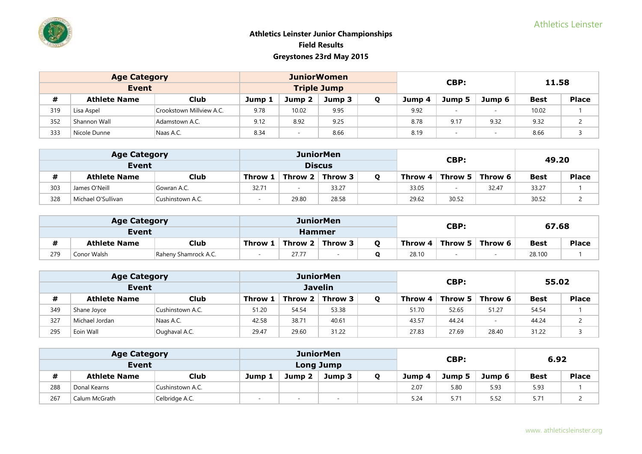|     | <b>Age Category</b> |                          |        | <b>JuniorWomen</b> |        |        | CBP:                     |        | 11.58       |              |  |
|-----|---------------------|--------------------------|--------|--------------------|--------|--------|--------------------------|--------|-------------|--------------|--|
|     | <b>Event</b>        |                          |        | <b>Triple Jump</b> |        |        |                          |        |             |              |  |
| #   | <b>Athlete Name</b> | <b>Club</b>              | Jump 1 | Jump 2             | Jump 3 | Jump 4 | Jump 5                   | Jump 6 | <b>Best</b> | <b>Place</b> |  |
| 319 | Lisa Aspel          | Crookstown Millview A.C. | 9.78   | 10.02              | 9.95   | 9.92   | $\overline{\phantom{a}}$ |        | 10.02       |              |  |
| 352 | Shannon Wall        | Adamstown A.C.           | 9.12   | 8.92               | 9.25   | 8.78   | 9.17                     | 9.32   | 9.32        |              |  |
| 333 | Nicole Dunne        | Naas A.C.                | 8.34   |                    | 8.66   | 8.19   | -                        |        | 8.66        |              |  |

|       | <b>Age Category</b> |                  |                                   |       | <b>JuniorMen</b> |                 |         | <b>CBP:</b> |             | 49.20        |  |
|-------|---------------------|------------------|-----------------------------------|-------|------------------|-----------------|---------|-------------|-------------|--------------|--|
| Event |                     |                  |                                   |       | <b>Discus</b>    |                 |         |             |             |              |  |
| #     | <b>Athlete Name</b> | <b>Club</b>      | Throw $2 \mid$ Throw 3<br>Throw 1 |       |                  | Throw 4 $\vert$ | Throw 5 | Throw 6     | <b>Best</b> | <b>Place</b> |  |
| 303   | James O'Neill       | Gowran A.C.      | 32.71                             |       | 33.27            |                 | 33.05   | -           | 32.47       | 33.27        |  |
| 328   | Michael O'Sullivan  | Cushinstown A.C. |                                   | 29.80 | 28.58            |                 | 29.62   | 30.52       |             | 30.52        |  |

|     | <b>Age Category</b>                 |             |                                       |               | <b>JuniorMen</b> |       |                               | CBP:    |             | 67.68        |  |  |
|-----|-------------------------------------|-------------|---------------------------------------|---------------|------------------|-------|-------------------------------|---------|-------------|--------------|--|--|
|     | Event                               |             |                                       | <b>Hammer</b> |                  |       |                               |         |             |              |  |  |
|     | <b>Athlete Name</b>                 | <b>Club</b> | Throw 3<br>Throw 2 $\vert$<br>Throw 1 |               |                  |       | Throw 4 $\mid$ Throw 5 $\mid$ | Throw 6 | <b>Best</b> | <b>Place</b> |  |  |
| 279 | Conor Walsh<br>Raheny Shamrock A.C. |             | 27.77                                 |               |                  | 28.10 |                               |         | 28.100      |              |  |  |

|     | <b>Age Category</b> |                  |                                    |       | <b>JuniorMen</b> |  |         | CBP:  |                   | 55.02       |       |  |
|-----|---------------------|------------------|------------------------------------|-------|------------------|--|---------|-------|-------------------|-------------|-------|--|
|     | Event               |                  |                                    |       | <b>Javelin</b>   |  |         |       |                   |             |       |  |
| #   | <b>Athlete Name</b> | Club             | Throw 2 $\vert$ Throw 3<br>Throw 1 |       |                  |  | Throw 4 |       | Throw 5   Throw 6 | <b>Best</b> | Place |  |
| 349 | Shane Joyce         | Cushinstown A.C. | 51.20                              | 54.54 | 53.38            |  | 51.70   | 52.65 | 51.27             | 54.54       |       |  |
| 327 | Michael Jordan      | Naas A.C.        | 42.58                              | 38.71 | 40.61            |  | 43.57   | 44.24 |                   | 44.24       |       |  |
| 295 | Eoin Wall           | Oughaval A.C.    | 29.47                              | 29.60 | 31.22            |  | 27.83   | 27.69 | 28.40             | 31.22       |       |  |

|     | <b>Age Category</b> |                  |                            |  | <b>JuniorMen</b> |        |        | CBP:   |             | 6.92         |  |
|-----|---------------------|------------------|----------------------------|--|------------------|--------|--------|--------|-------------|--------------|--|
|     | Event               |                  | <b>Long Jump</b>           |  |                  |        |        |        |             |              |  |
| #   | <b>Athlete Name</b> | <b>Club</b>      | Jump 2<br>Jump 1<br>Jump 3 |  |                  | Jump 4 | Jump 5 | Jump 6 | <b>Best</b> | <b>Place</b> |  |
| 288 | Donal Kearns        | Cushinstown A.C. |                            |  |                  |        | 2.07   | 5.80   | 5.93        | 5.93         |  |
| 267 | Calum McGrath       | Celbridge A.C.   | . .                        |  |                  |        | 5.24   | 5.71   | 5.52        | 5.71         |  |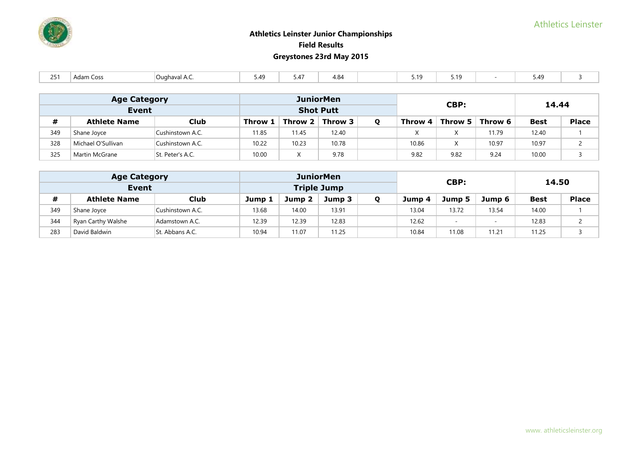

| $\sim$ $-$ | , Coss<br>Adam | ™ighaval A.C. | ، 49<br>, | , 4' | ، ص<br>4.04 |  | $-40$<br>1 U<br><u>.</u> | 7.10<br><u>.</u> |  | ۰д۰<br>. |  |
|------------|----------------|---------------|-----------|------|-------------|--|--------------------------|------------------|--|----------|--|
|------------|----------------|---------------|-----------|------|-------------|--|--------------------------|------------------|--|----------|--|

|     | <b>Age Category</b> |                  |         |                         | <b>JuniorMen</b> |         | CBP:       |         | 14.44       |              |  |
|-----|---------------------|------------------|---------|-------------------------|------------------|---------|------------|---------|-------------|--------------|--|
|     | <b>Event</b>        |                  |         | <b>Shot Putt</b>        |                  |         |            |         |             |              |  |
| #   | <b>Athlete Name</b> | <b>Club</b>      | Throw 1 | Throw 2 $\vert$ Throw 3 |                  | Throw 4 | Throw $51$ | Throw 6 | <b>Best</b> | <b>Place</b> |  |
| 349 | Shane Joyce         | Cushinstown A.C. | 11.85   | 11.45                   | 12.40            |         |            | 11.79   | 12.40       |              |  |
| 328 | Michael O'Sullivan  | Cushinstown A.C. | 10.22   | 10.23                   | 10.78            | 10.86   |            | 10.97   | 10.97       |              |  |
| 325 | Martin McGrane      | St. Peter's A.C. | 10.00   |                         | 9.78             | 9.82    | 9.82       | 9.24    | 10.00       |              |  |

|     | <b>Age Category</b> |                  |        | <b>JuniorMen</b>   |        | CBP:   | 14.50  |        |             |              |
|-----|---------------------|------------------|--------|--------------------|--------|--------|--------|--------|-------------|--------------|
|     | Event               |                  |        | <b>Triple Jump</b> |        |        |        |        |             |              |
|     | <b>Athlete Name</b> | Club             | Jump 1 | Jump 2             | Jump 3 | Jump 4 | Jump 5 | Jump 6 | <b>Best</b> | <b>Place</b> |
| 349 | Shane Joyce         | Cushinstown A.C. | 13.68  | 14.00              | 13.91  | 13.04  | 13.72  | 13.54  | 14.00       |              |
| 344 | Ryan Carthy Walshe  | Adamstown A.C.   | 12.39  | 12.39              | 12.83  | 12.62  |        |        | 12.83       |              |
| 283 | David Baldwin       | St. Abbans A.C.  | 10.94  | 11.07              | 11.25  | 10.84  | 11.08  | 11.21  | 11.25       |              |